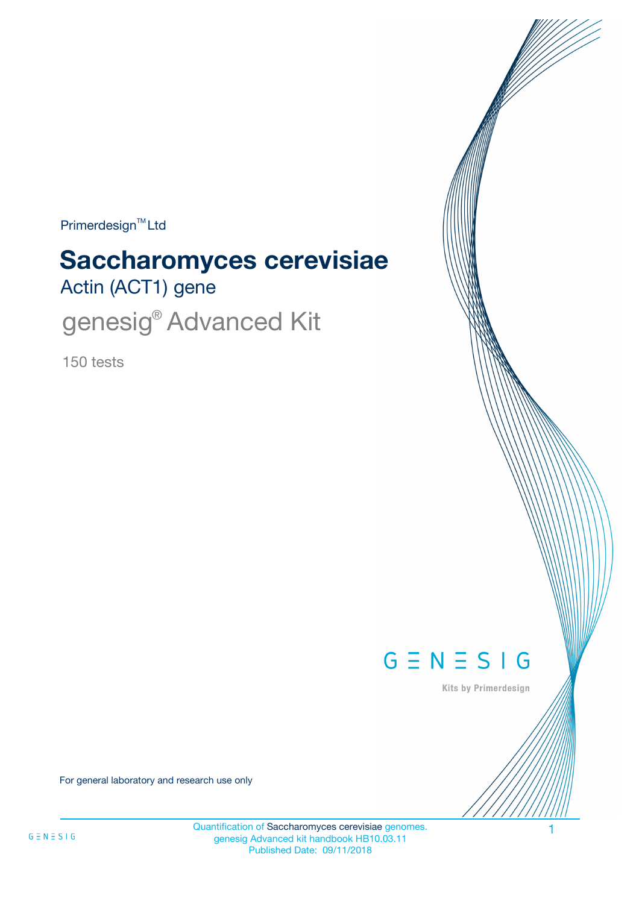Primerdesign<sup>™</sup>Ltd

# Actin (ACT1) gene **Saccharomyces cerevisiae**

genesig<sup>®</sup> Advanced Kit

150 tests



Kits by Primerdesign

For general laboratory and research use only

Quantification of Saccharomyces cerevisiae genomes. genesig Advanced kit handbook HB10.03.11 Published Date: 09/11/2018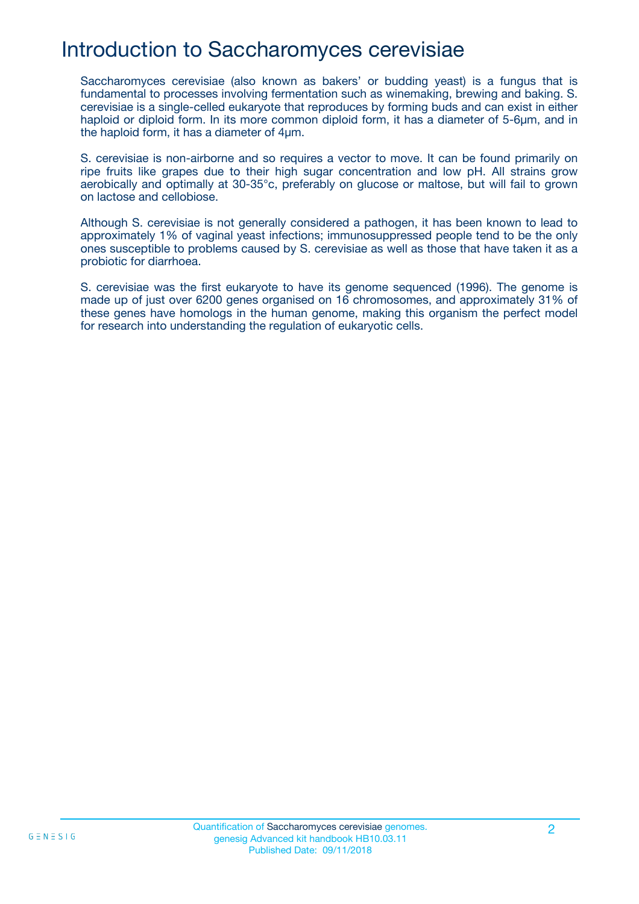## Introduction to Saccharomyces cerevisiae

Saccharomyces cerevisiae (also known as bakers' or budding yeast) is a fungus that is fundamental to processes involving fermentation such as winemaking, brewing and baking. S. cerevisiae is a single-celled eukaryote that reproduces by forming buds and can exist in either haploid or diploid form. In its more common diploid form, it has a diameter of 5-6µm, and in the haploid form, it has a diameter of 4µm.

S. cerevisiae is non-airborne and so requires a vector to move. It can be found primarily on ripe fruits like grapes due to their high sugar concentration and low pH. All strains grow aerobically and optimally at 30-35°c, preferably on glucose or maltose, but will fail to grown on lactose and cellobiose.

Although S. cerevisiae is not generally considered a pathogen, it has been known to lead to approximately 1% of vaginal yeast infections; immunosuppressed people tend to be the only ones susceptible to problems caused by S. cerevisiae as well as those that have taken it as a probiotic for diarrhoea.

S. cerevisiae was the first eukaryote to have its genome sequenced (1996). The genome is made up of just over 6200 genes organised on 16 chromosomes, and approximately 31% of these genes have homologs in the human genome, making this organism the perfect model for research into understanding the regulation of eukaryotic cells.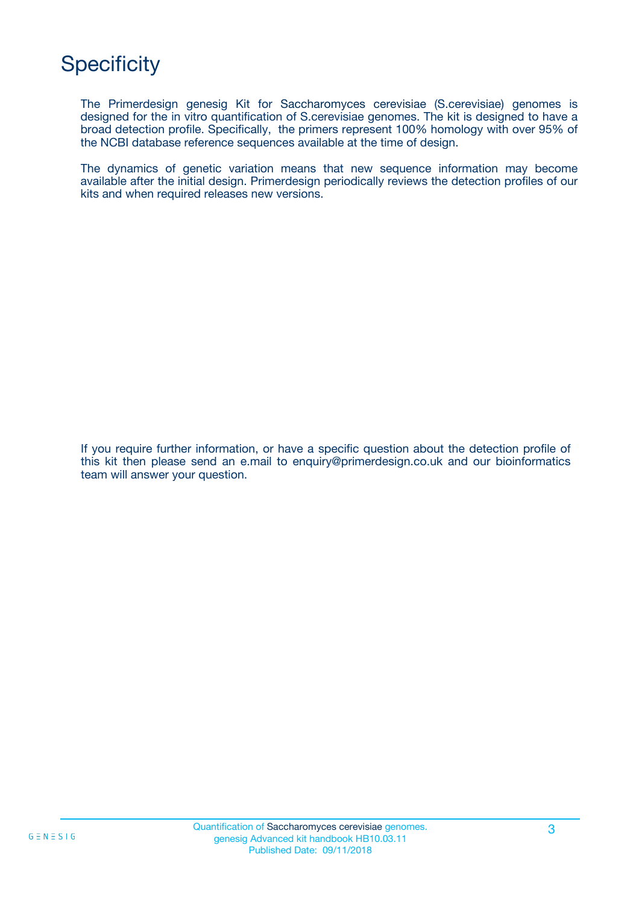# **Specificity**

The Primerdesign genesig Kit for Saccharomyces cerevisiae (S.cerevisiae) genomes is designed for the in vitro quantification of S.cerevisiae genomes. The kit is designed to have a broad detection profile. Specifically, the primers represent 100% homology with over 95% of the NCBI database reference sequences available at the time of design.

The dynamics of genetic variation means that new sequence information may become available after the initial design. Primerdesign periodically reviews the detection profiles of our kits and when required releases new versions.

If you require further information, or have a specific question about the detection profile of this kit then please send an e.mail to enquiry@primerdesign.co.uk and our bioinformatics team will answer your question.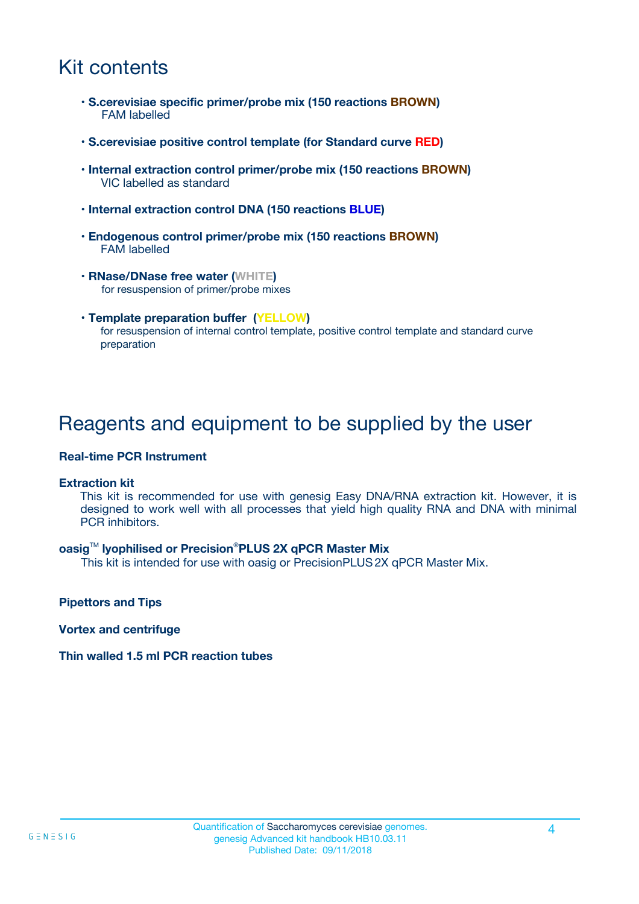## Kit contents

- **S.cerevisiae specific primer/probe mix (150 reactions BROWN)** FAM labelled
- **S.cerevisiae positive control template (for Standard curve RED)**
- **Internal extraction control primer/probe mix (150 reactions BROWN)** VIC labelled as standard
- **Internal extraction control DNA (150 reactions BLUE)**
- **Endogenous control primer/probe mix (150 reactions BROWN)** FAM labelled
- **RNase/DNase free water (WHITE)** for resuspension of primer/probe mixes
- **Template preparation buffer (YELLOW)** for resuspension of internal control template, positive control template and standard curve preparation

### Reagents and equipment to be supplied by the user

#### **Real-time PCR Instrument**

#### **Extraction kit**

This kit is recommended for use with genesig Easy DNA/RNA extraction kit. However, it is designed to work well with all processes that yield high quality RNA and DNA with minimal PCR inhibitors.

#### **oasig**TM **lyophilised or Precision**®**PLUS 2X qPCR Master Mix**

This kit is intended for use with oasig or PrecisionPLUS2X qPCR Master Mix.

**Pipettors and Tips**

**Vortex and centrifuge**

#### **Thin walled 1.5 ml PCR reaction tubes**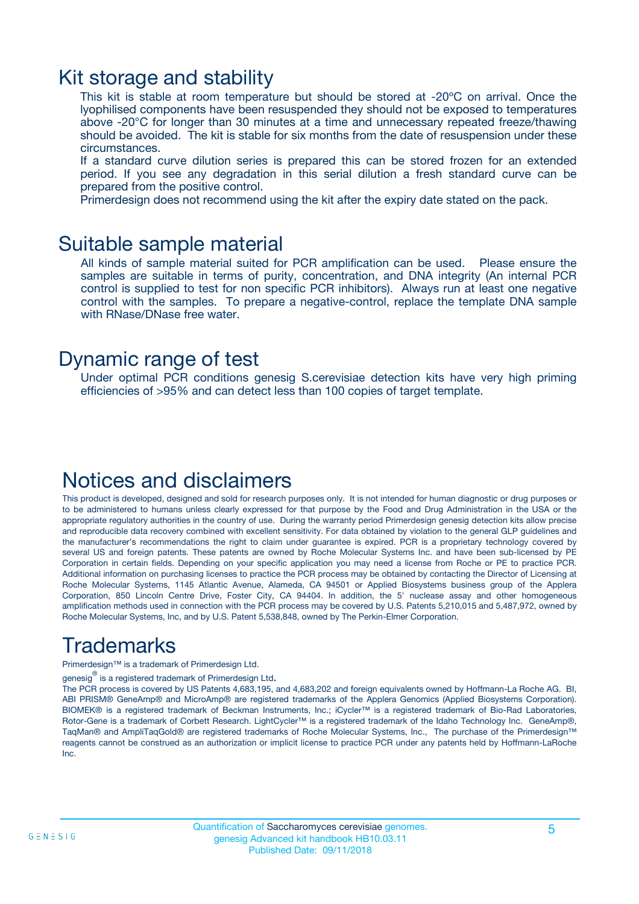### Kit storage and stability

This kit is stable at room temperature but should be stored at -20ºC on arrival. Once the lyophilised components have been resuspended they should not be exposed to temperatures above -20°C for longer than 30 minutes at a time and unnecessary repeated freeze/thawing should be avoided. The kit is stable for six months from the date of resuspension under these circumstances.

If a standard curve dilution series is prepared this can be stored frozen for an extended period. If you see any degradation in this serial dilution a fresh standard curve can be prepared from the positive control.

Primerdesign does not recommend using the kit after the expiry date stated on the pack.

### Suitable sample material

All kinds of sample material suited for PCR amplification can be used. Please ensure the samples are suitable in terms of purity, concentration, and DNA integrity (An internal PCR control is supplied to test for non specific PCR inhibitors). Always run at least one negative control with the samples. To prepare a negative-control, replace the template DNA sample with RNase/DNase free water.

### Dynamic range of test

Under optimal PCR conditions genesig S.cerevisiae detection kits have very high priming efficiencies of >95% and can detect less than 100 copies of target template.

### Notices and disclaimers

This product is developed, designed and sold for research purposes only. It is not intended for human diagnostic or drug purposes or to be administered to humans unless clearly expressed for that purpose by the Food and Drug Administration in the USA or the appropriate regulatory authorities in the country of use. During the warranty period Primerdesign genesig detection kits allow precise and reproducible data recovery combined with excellent sensitivity. For data obtained by violation to the general GLP guidelines and the manufacturer's recommendations the right to claim under guarantee is expired. PCR is a proprietary technology covered by several US and foreign patents. These patents are owned by Roche Molecular Systems Inc. and have been sub-licensed by PE Corporation in certain fields. Depending on your specific application you may need a license from Roche or PE to practice PCR. Additional information on purchasing licenses to practice the PCR process may be obtained by contacting the Director of Licensing at Roche Molecular Systems, 1145 Atlantic Avenue, Alameda, CA 94501 or Applied Biosystems business group of the Applera Corporation, 850 Lincoln Centre Drive, Foster City, CA 94404. In addition, the 5' nuclease assay and other homogeneous amplification methods used in connection with the PCR process may be covered by U.S. Patents 5,210,015 and 5,487,972, owned by Roche Molecular Systems, Inc, and by U.S. Patent 5,538,848, owned by The Perkin-Elmer Corporation.

# Trademarks

Primerdesign™ is a trademark of Primerdesign Ltd.

genesig $^\circledR$  is a registered trademark of Primerdesign Ltd.

The PCR process is covered by US Patents 4,683,195, and 4,683,202 and foreign equivalents owned by Hoffmann-La Roche AG. BI, ABI PRISM® GeneAmp® and MicroAmp® are registered trademarks of the Applera Genomics (Applied Biosystems Corporation). BIOMEK® is a registered trademark of Beckman Instruments, Inc.; iCycler™ is a registered trademark of Bio-Rad Laboratories, Rotor-Gene is a trademark of Corbett Research. LightCycler™ is a registered trademark of the Idaho Technology Inc. GeneAmp®, TaqMan® and AmpliTaqGold® are registered trademarks of Roche Molecular Systems, Inc., The purchase of the Primerdesign™ reagents cannot be construed as an authorization or implicit license to practice PCR under any patents held by Hoffmann-LaRoche Inc.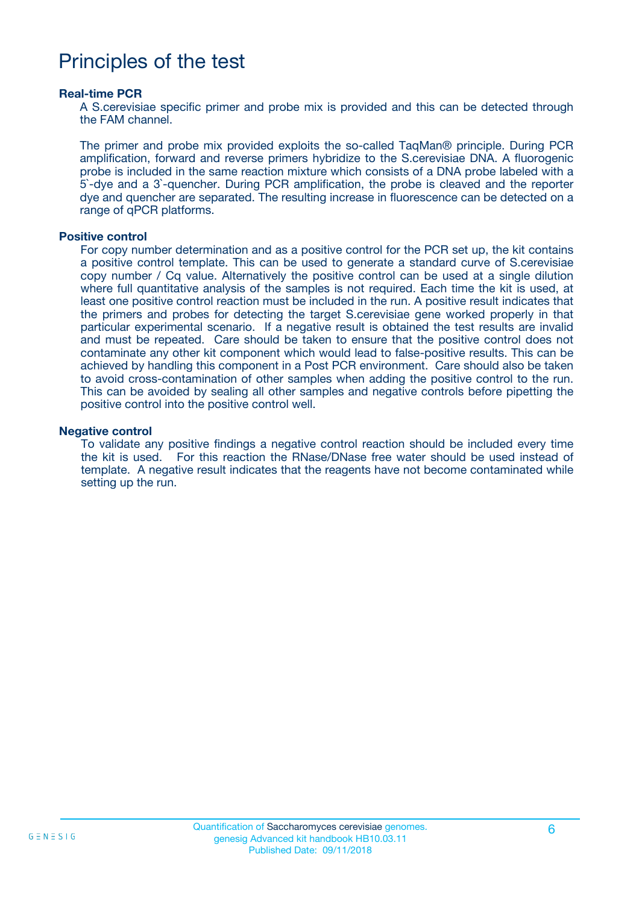## Principles of the test

#### **Real-time PCR**

A S.cerevisiae specific primer and probe mix is provided and this can be detected through the FAM channel.

The primer and probe mix provided exploits the so-called TaqMan® principle. During PCR amplification, forward and reverse primers hybridize to the S.cerevisiae DNA. A fluorogenic probe is included in the same reaction mixture which consists of a DNA probe labeled with a 5`-dye and a 3`-quencher. During PCR amplification, the probe is cleaved and the reporter dye and quencher are separated. The resulting increase in fluorescence can be detected on a range of qPCR platforms.

#### **Positive control**

For copy number determination and as a positive control for the PCR set up, the kit contains a positive control template. This can be used to generate a standard curve of S.cerevisiae copy number / Cq value. Alternatively the positive control can be used at a single dilution where full quantitative analysis of the samples is not required. Each time the kit is used, at least one positive control reaction must be included in the run. A positive result indicates that the primers and probes for detecting the target S.cerevisiae gene worked properly in that particular experimental scenario. If a negative result is obtained the test results are invalid and must be repeated. Care should be taken to ensure that the positive control does not contaminate any other kit component which would lead to false-positive results. This can be achieved by handling this component in a Post PCR environment. Care should also be taken to avoid cross-contamination of other samples when adding the positive control to the run. This can be avoided by sealing all other samples and negative controls before pipetting the positive control into the positive control well.

#### **Negative control**

To validate any positive findings a negative control reaction should be included every time the kit is used. For this reaction the RNase/DNase free water should be used instead of template. A negative result indicates that the reagents have not become contaminated while setting up the run.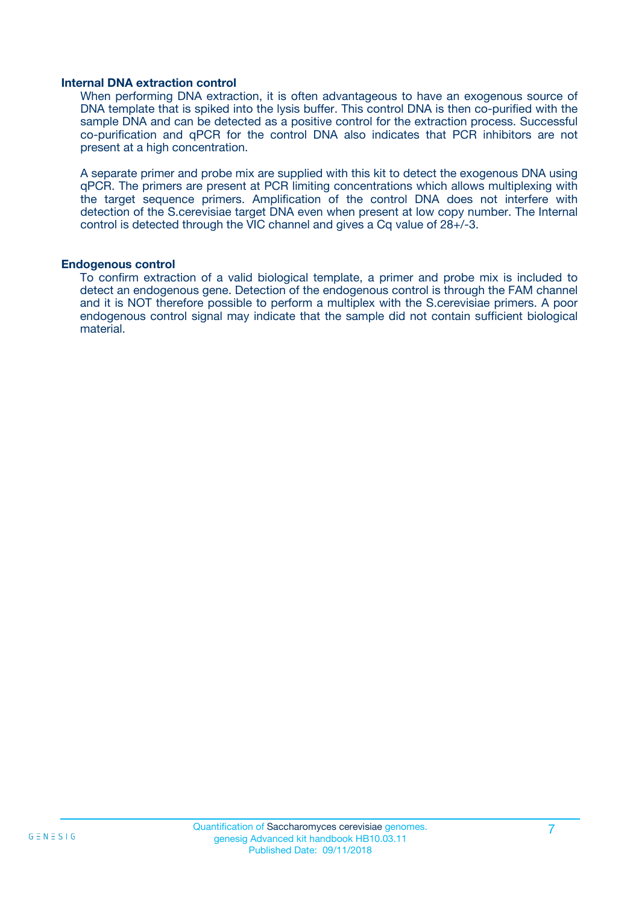#### **Internal DNA extraction control**

When performing DNA extraction, it is often advantageous to have an exogenous source of DNA template that is spiked into the lysis buffer. This control DNA is then co-purified with the sample DNA and can be detected as a positive control for the extraction process. Successful co-purification and qPCR for the control DNA also indicates that PCR inhibitors are not present at a high concentration.

A separate primer and probe mix are supplied with this kit to detect the exogenous DNA using qPCR. The primers are present at PCR limiting concentrations which allows multiplexing with the target sequence primers. Amplification of the control DNA does not interfere with detection of the S.cerevisiae target DNA even when present at low copy number. The Internal control is detected through the VIC channel and gives a Cq value of 28+/-3.

#### **Endogenous control**

To confirm extraction of a valid biological template, a primer and probe mix is included to detect an endogenous gene. Detection of the endogenous control is through the FAM channel and it is NOT therefore possible to perform a multiplex with the S.cerevisiae primers. A poor endogenous control signal may indicate that the sample did not contain sufficient biological material.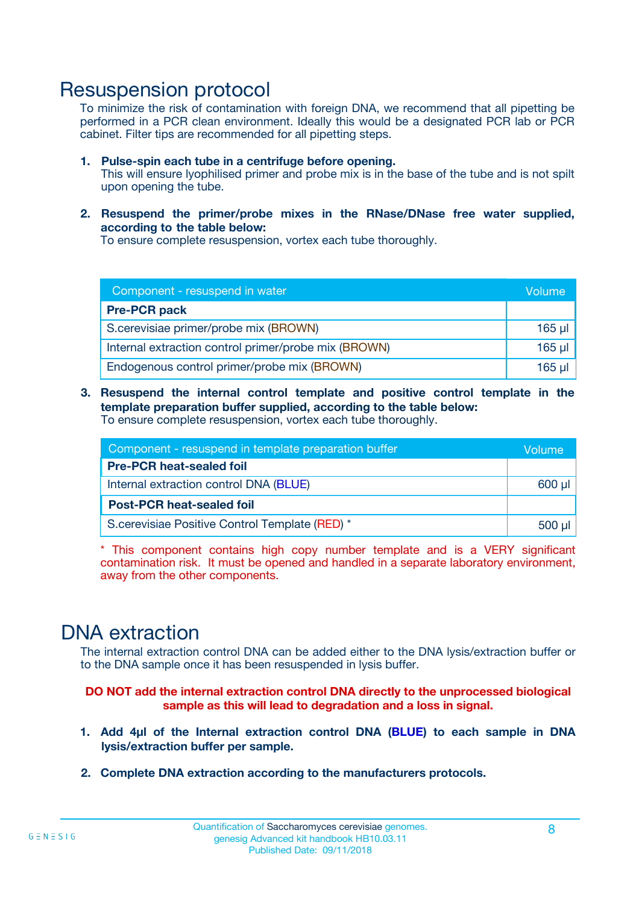### Resuspension protocol

To minimize the risk of contamination with foreign DNA, we recommend that all pipetting be performed in a PCR clean environment. Ideally this would be a designated PCR lab or PCR cabinet. Filter tips are recommended for all pipetting steps.

- **1. Pulse-spin each tube in a centrifuge before opening.** This will ensure lyophilised primer and probe mix is in the base of the tube and is not spilt upon opening the tube.
- **2. Resuspend the primer/probe mixes in the RNase/DNase free water supplied, according to the table below:**

To ensure complete resuspension, vortex each tube thoroughly.

| Component - resuspend in water                       |          |  |
|------------------------------------------------------|----------|--|
| <b>Pre-PCR pack</b>                                  |          |  |
| S.cerevisiae primer/probe mix (BROWN)                | $165$ µl |  |
| Internal extraction control primer/probe mix (BROWN) | $165$ µl |  |
| Endogenous control primer/probe mix (BROWN)          | $165$ µl |  |

**3. Resuspend the internal control template and positive control template in the template preparation buffer supplied, according to the table below:** To ensure complete resuspension, vortex each tube thoroughly.

| Component - resuspend in template preparation buffer |  |  |  |
|------------------------------------------------------|--|--|--|
| <b>Pre-PCR heat-sealed foil</b>                      |  |  |  |
| Internal extraction control DNA (BLUE)               |  |  |  |
| <b>Post-PCR heat-sealed foil</b>                     |  |  |  |
| S.cerevisiae Positive Control Template (RED) *       |  |  |  |

\* This component contains high copy number template and is a VERY significant contamination risk. It must be opened and handled in a separate laboratory environment, away from the other components.

### DNA extraction

The internal extraction control DNA can be added either to the DNA lysis/extraction buffer or to the DNA sample once it has been resuspended in lysis buffer.

**DO NOT add the internal extraction control DNA directly to the unprocessed biological sample as this will lead to degradation and a loss in signal.**

- **1. Add 4µl of the Internal extraction control DNA (BLUE) to each sample in DNA lysis/extraction buffer per sample.**
- **2. Complete DNA extraction according to the manufacturers protocols.**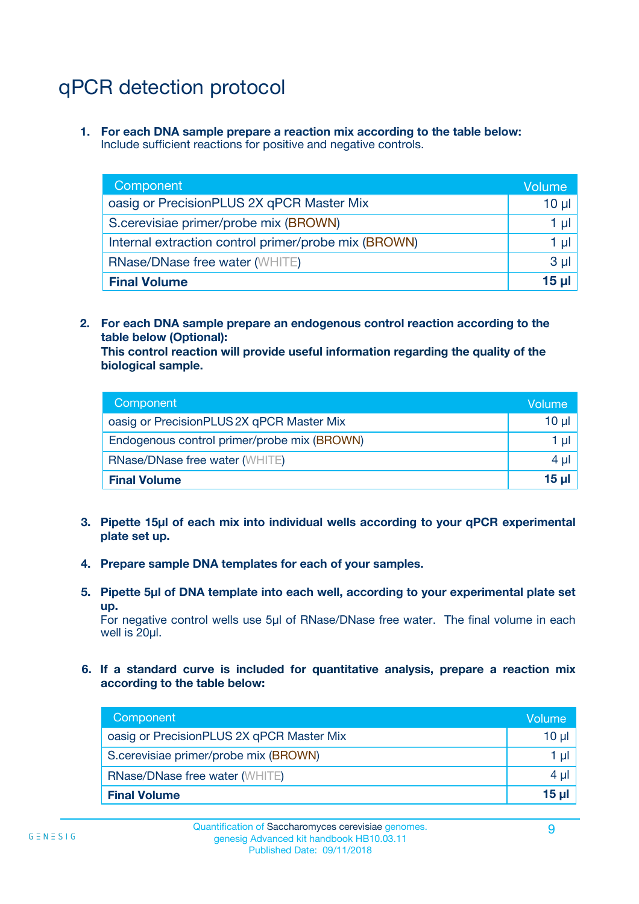# qPCR detection protocol

**1. For each DNA sample prepare a reaction mix according to the table below:** Include sufficient reactions for positive and negative controls.

| Component                                            | Volume   |
|------------------------------------------------------|----------|
| oasig or PrecisionPLUS 2X qPCR Master Mix            | $10 \mu$ |
| S.cerevisiae primer/probe mix (BROWN)                | 1 µI     |
| Internal extraction control primer/probe mix (BROWN) | 1 µl     |
| <b>RNase/DNase free water (WHITE)</b>                | $3 \mu$  |
| <b>Final Volume</b>                                  | 15 µl    |

**2. For each DNA sample prepare an endogenous control reaction according to the table below (Optional):**

**This control reaction will provide useful information regarding the quality of the biological sample.**

| Component                                   | Volume   |
|---------------------------------------------|----------|
| oasig or PrecisionPLUS 2X qPCR Master Mix   | $10 \mu$ |
| Endogenous control primer/probe mix (BROWN) | 1 µI     |
| <b>RNase/DNase free water (WHITE)</b>       | $4 \mu$  |
| <b>Final Volume</b>                         | 15 µl    |

- **3. Pipette 15µl of each mix into individual wells according to your qPCR experimental plate set up.**
- **4. Prepare sample DNA templates for each of your samples.**
- **5. Pipette 5µl of DNA template into each well, according to your experimental plate set up.**

For negative control wells use 5µl of RNase/DNase free water. The final volume in each well is 20ul.

**6. If a standard curve is included for quantitative analysis, prepare a reaction mix according to the table below:**

| Component                                 | Volume       |
|-------------------------------------------|--------------|
| oasig or PrecisionPLUS 2X qPCR Master Mix | 10 ul        |
| S.cerevisiae primer/probe mix (BROWN)     |              |
| RNase/DNase free water (WHITE)            | $4 \mu$      |
| <b>Final Volume</b>                       | <u>15 µl</u> |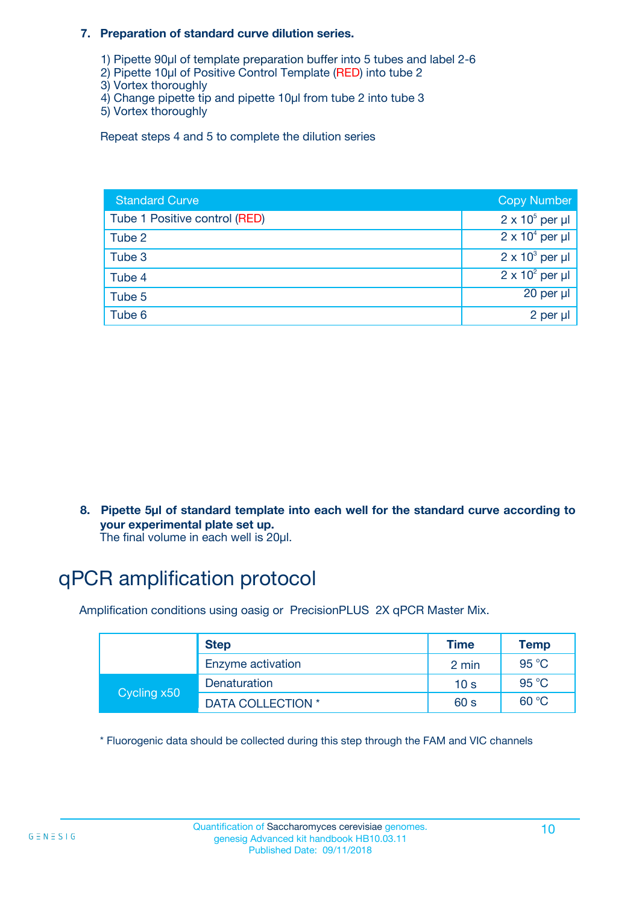#### **7. Preparation of standard curve dilution series.**

- 1) Pipette 90µl of template preparation buffer into 5 tubes and label 2-6
- 2) Pipette 10µl of Positive Control Template (RED) into tube 2
- 3) Vortex thoroughly
- 4) Change pipette tip and pipette 10µl from tube 2 into tube 3
- 5) Vortex thoroughly

Repeat steps 4 and 5 to complete the dilution series

| <b>Standard Curve</b>         | <b>Copy Number</b>     |
|-------------------------------|------------------------|
| Tube 1 Positive control (RED) | $2 \times 10^5$ per µl |
| Tube 2                        | $2 \times 10^4$ per µl |
| Tube 3                        | $2 \times 10^3$ per µl |
| Tube 4                        | $2 \times 10^2$ per µl |
| Tube 5                        | 20 per µl              |
| Tube 6                        | 2 per µl               |

**8. Pipette 5µl of standard template into each well for the standard curve according to your experimental plate set up.**

#### The final volume in each well is 20µl.

# qPCR amplification protocol

Amplification conditions using oasig or PrecisionPLUS 2X qPCR Master Mix.

|             | <b>Step</b>       | <b>Time</b>     | Temp    |
|-------------|-------------------|-----------------|---------|
|             | Enzyme activation | 2 min           | 95 °C   |
| Cycling x50 | Denaturation      | 10 <sub>s</sub> | 95 $°C$ |
|             | DATA COLLECTION * | 60 s            | 60 °C   |

\* Fluorogenic data should be collected during this step through the FAM and VIC channels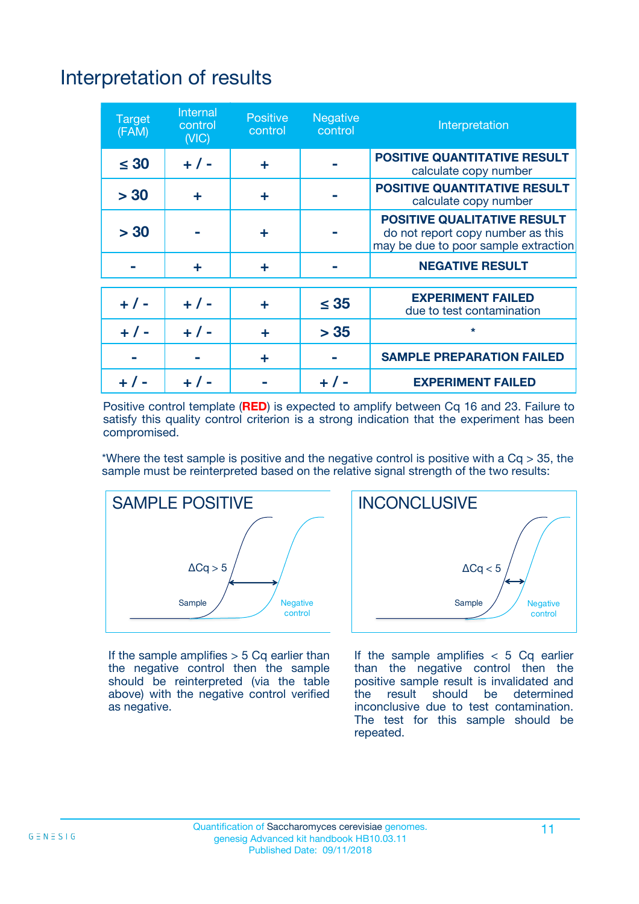# Interpretation of results

| <b>Target</b><br>(FAM) | <b>Internal</b><br>control<br>(NIC) | <b>Positive</b><br>control | <b>Negative</b><br>control | Interpretation                                                                                                  |
|------------------------|-------------------------------------|----------------------------|----------------------------|-----------------------------------------------------------------------------------------------------------------|
| $\leq 30$              | $+ 1 -$                             | ÷                          |                            | <b>POSITIVE QUANTITATIVE RESULT</b><br>calculate copy number                                                    |
| > 30                   | ٠                                   | ÷                          |                            | <b>POSITIVE QUANTITATIVE RESULT</b><br>calculate copy number                                                    |
| > 30                   |                                     | ÷                          |                            | <b>POSITIVE QUALITATIVE RESULT</b><br>do not report copy number as this<br>may be due to poor sample extraction |
|                        | ÷                                   | ÷                          |                            | <b>NEGATIVE RESULT</b>                                                                                          |
| $+ 1 -$                | $+ 1 -$                             | ÷                          | $\leq$ 35                  | <b>EXPERIMENT FAILED</b><br>due to test contamination                                                           |
| $+$ / -                | $+ 1 -$                             | ÷                          | > 35                       | $\star$                                                                                                         |
|                        |                                     | ÷                          |                            | <b>SAMPLE PREPARATION FAILED</b>                                                                                |
|                        |                                     |                            | $+$ /                      | <b>EXPERIMENT FAILED</b>                                                                                        |

Positive control template (**RED**) is expected to amplify between Cq 16 and 23. Failure to satisfy this quality control criterion is a strong indication that the experiment has been compromised.

\*Where the test sample is positive and the negative control is positive with a  $Ca > 35$ , the sample must be reinterpreted based on the relative signal strength of the two results:



If the sample amplifies  $> 5$  Cq earlier than the negative control then the sample should be reinterpreted (via the table above) with the negative control verified as negative.



If the sample amplifies  $< 5$  Cq earlier than the negative control then the positive sample result is invalidated and<br>the result should be determined  $the$  result should be inconclusive due to test contamination. The test for this sample should be repeated.